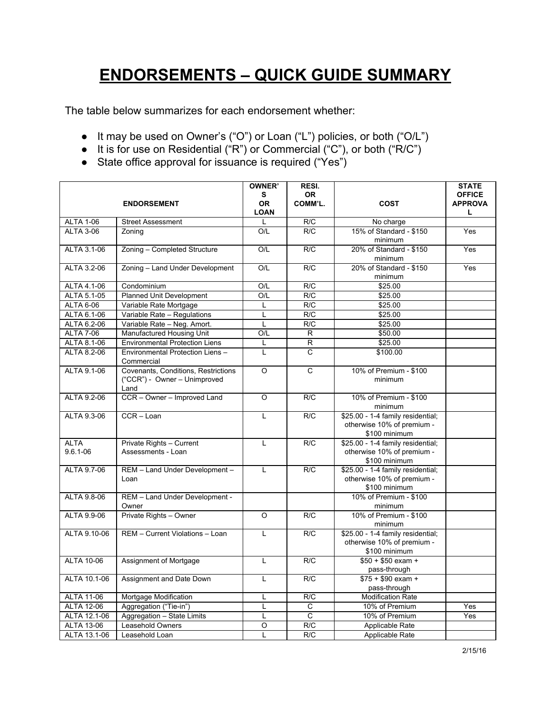## **ENDORSEMENTS – QUICK GUIDE SUMMARY**

The table below summarizes for each endorsement whether:

- It may be used on Owner's ("O") or Loan ("L") policies, or both ("O/L")
- It is for use on Residential ("R") or Commercial ("C"), or both ("R/C")
- State office approval for issuance is required ("Yes")

|                   |                                       | <b>OWNER'</b>  | RESI.          |                                                    | <b>STATE</b>   |
|-------------------|---------------------------------------|----------------|----------------|----------------------------------------------------|----------------|
|                   |                                       | s              | <b>OR</b>      |                                                    | <b>OFFICE</b>  |
|                   | <b>ENDORSEMENT</b>                    | <b>OR</b>      | COMM'L.        | <b>COST</b>                                        | <b>APPROVA</b> |
|                   |                                       | <b>LOAN</b>    |                |                                                    | L              |
| <b>ALTA 1-06</b>  | <b>Street Assessment</b>              | L              | R/C            | No charge                                          |                |
| <b>ALTA 3-06</b>  | Zoning                                | O/L            | R/C            | 15% of Standard - \$150                            | Yes            |
|                   |                                       |                |                | minimum                                            |                |
| ALTA 3.1-06       | Zoning - Completed Structure          | O/L            | R/C            | 20% of Standard - \$150                            | Yes            |
|                   |                                       |                |                | minimum                                            |                |
| ALTA 3.2-06       | Zoning - Land Under Development       | O/L            | R/C            | 20% of Standard - \$150                            | Yes            |
|                   |                                       |                |                | minimum                                            |                |
| ALTA 4.1-06       | Condominium                           | O/L            | R/C            | \$25.00                                            |                |
| ALTA 5.1-05       | Planned Unit Development              | O/L            | R/C            | \$25.00                                            |                |
| <b>ALTA 6-06</b>  | Variable Rate Mortgage                | L              | R/C            | \$25.00                                            |                |
| ALTA 6.1-06       | Variable Rate - Regulations           | L              | R/C            | \$25.00                                            |                |
| ALTA 6.2-06       | Variable Rate - Neg. Amort.           | L              | R/C            | \$25.00                                            |                |
| <b>ALTA 7-06</b>  | Manufactured Housing Unit             | O/L            | R              | \$50.00                                            |                |
| ALTA 8.1-06       | <b>Environmental Protection Liens</b> | L              | $\overline{R}$ | \$25.00                                            |                |
| ALTA 8.2-06       | Environmental Protection Liens -      | L              | $\mathsf{C}$   | \$100.00                                           |                |
|                   | Commercial                            |                |                |                                                    |                |
| ALTA 9.1-06       | Covenants, Conditions, Restrictions   | $\Omega$       | $\overline{C}$ | 10% of Premium - \$100                             |                |
|                   | ("CCR") - Owner - Unimproved          |                |                | minimum                                            |                |
|                   | Land                                  |                |                |                                                    |                |
| ALTA 9.2-06       | CCR - Owner - Improved Land           | $\Omega$       | R/C            | 10% of Premium - \$100                             |                |
|                   |                                       |                |                | minimum                                            |                |
| ALTA 9.3-06       | CCR-Loan                              | L              | R/C            | \$25.00 - 1-4 family residential;                  |                |
|                   |                                       |                |                | otherwise 10% of premium -                         |                |
| <b>ALTA</b>       | Private Rights - Current              | L              | R/C            | \$100 minimum<br>\$25.00 - 1-4 family residential; |                |
| $9.6.1 - 06$      | Assessments - Loan                    |                |                | otherwise 10% of premium -                         |                |
|                   |                                       |                |                | \$100 minimum                                      |                |
| ALTA 9.7-06       | REM - Land Under Development -        | L              | R/C            | \$25.00 - 1-4 family residential;                  |                |
|                   | Loan                                  |                |                | otherwise 10% of premium -                         |                |
|                   |                                       |                |                | \$100 minimum                                      |                |
| ALTA 9.8-06       | REM - Land Under Development -        |                |                | 10% of Premium - \$100                             |                |
|                   | Owner                                 |                |                | minimum                                            |                |
| ALTA 9.9-06       | Private Rights - Owner                | $\overline{O}$ | R/C            | 10% of Premium - \$100                             |                |
|                   |                                       |                |                | minimum                                            |                |
| ALTA 9.10-06      | REM - Current Violations - Loan       | $\mathbf{L}$   | R/C            | \$25.00 - 1-4 family residential;                  |                |
|                   |                                       |                |                | otherwise 10% of premium -                         |                |
|                   |                                       |                |                | \$100 minimum                                      |                |
| <b>ALTA 10-06</b> | Assignment of Mortgage                | L              | R/C            | $$50 + $50 e$ xam +                                |                |
|                   |                                       |                |                | pass-through                                       |                |
| ALTA 10.1-06      | Assignment and Date Down              | L              | R/C            | $$75 + $90 e$ xam +                                |                |
|                   |                                       |                |                | pass-through                                       |                |
| <b>ALTA 11-06</b> | Mortgage Modification                 | L              | R/C            | <b>Modification Rate</b>                           |                |
| <b>ALTA 12-06</b> | Aggregation ("Tie-in")                | Г              | С              | 10% of Premium                                     | Yes            |
| ALTA 12.1-06      | Aggregation - State Limits            | L              | $\overline{c}$ | 10% of Premium                                     | Yes            |
| ALTA 13-06        | Leasehold Owners                      | $\circ$        | R/C            | Applicable Rate                                    |                |
| ALTA 13.1-06      | Leasehold Loan                        | L              | R/C            | Applicable Rate                                    |                |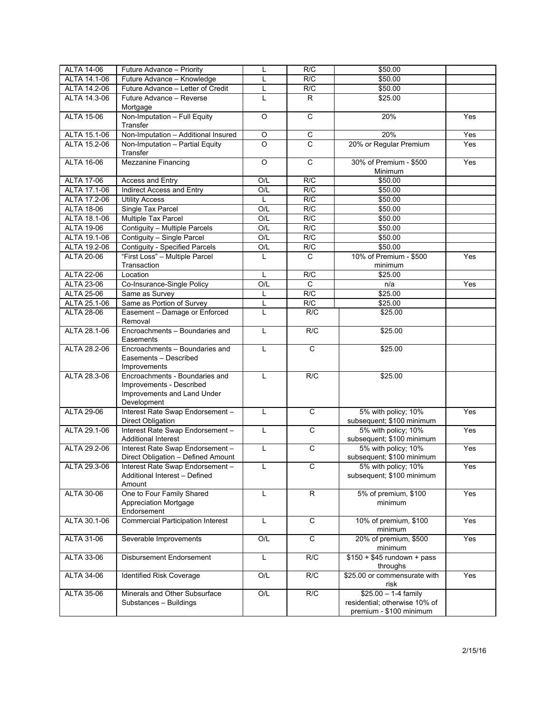| <b>ALTA 14-06</b> | Future Advance - Priority                                                                                | Г              | R/C            | \$50.00                                                                           |                  |
|-------------------|----------------------------------------------------------------------------------------------------------|----------------|----------------|-----------------------------------------------------------------------------------|------------------|
| ALTA 14.1-06      | Future Advance - Knowledge                                                                               | L              | R/C            | \$50.00                                                                           |                  |
| ALTA 14.2-06      | Future Advance - Letter of Credit                                                                        | Г              | R/C            | \$50.00                                                                           |                  |
| ALTA 14.3-06      | Future Advance - Reverse<br>Mortgage                                                                     | L              | $\mathsf{R}$   | \$25.00                                                                           |                  |
| <b>ALTA 15-06</b> | Non-Imputation - Full Equity<br>Transfer                                                                 | $\circ$        | $\overline{c}$ | 20%                                                                               | Yes              |
| ALTA 15.1-06      | Non-Imputation - Additional Insured                                                                      | $\overline{O}$ | $\overline{C}$ | 20%                                                                               | Yes              |
| ALTA 15.2-06      | Non-Imputation - Partial Equity<br>Transfer                                                              | $\overline{O}$ | $\overline{c}$ | 20% or Regular Premium                                                            | Yes              |
| <b>ALTA 16-06</b> | <b>Mezzanine Financing</b>                                                                               | $\circ$        | $\mathbf C$    | 30% of Premium - \$500<br>Minimum                                                 | Yes              |
| <b>ALTA 17-06</b> | Access and Entry                                                                                         | O/L            | R/C            | \$50.00                                                                           |                  |
| ALTA 17.1-06      | Indirect Access and Entry                                                                                | O/L            | R/C            | \$50.00                                                                           |                  |
| ALTA 17.2-06      | <b>Utility Access</b>                                                                                    | L              | R/C            | \$50.00                                                                           |                  |
| <b>ALTA 18-06</b> | Single Tax Parcel                                                                                        | O/L            | R/C            | \$50.00                                                                           |                  |
| ALTA 18.1-06      | Multiple Tax Parcel                                                                                      | O/L            | R/C            | \$50.00                                                                           |                  |
| <b>ALTA 19-06</b> | Contiguity - Multiple Parcels                                                                            | O/L            | R/C            | \$50.00                                                                           |                  |
| ALTA 19.1-06      | Contiguity - Single Parcel                                                                               | O/L            | R/C            | \$50.00                                                                           |                  |
| ALTA 19.2-06      | <b>Contiguity - Specified Parcels</b>                                                                    | O/L            | R/C            | \$50.00                                                                           |                  |
| <b>ALTA 20-06</b> | "First Loss" - Multiple Parcel                                                                           | L              | $\mathsf{C}$   | 10% of Premium - \$500                                                            | Yes              |
|                   | Transaction                                                                                              |                |                | minimum                                                                           |                  |
| <b>ALTA 22-06</b> | Location                                                                                                 | L              | R/C            | \$25.00                                                                           |                  |
| ALTA 23-06        | Co-Insurance-Single Policy                                                                               | O/L            | $\overline{C}$ | n/a                                                                               | Yes              |
| <b>ALTA 25-06</b> | Same as Survey                                                                                           | L              | R/C            | \$25.00                                                                           |                  |
| ALTA 25.1-06      | Same as Portion of Survey                                                                                | L              | R/C            | \$25.00                                                                           |                  |
| <b>ALTA 28-06</b> | Easement - Damage or Enforced<br>Removal                                                                 | L              | R/C            | \$25.00                                                                           |                  |
| ALTA 28.1-06      | Encroachments - Boundaries and<br>Easements                                                              | L              | R/C            | \$25.00                                                                           |                  |
| ALTA 28.2-06      | Encroachments - Boundaries and<br>Easements - Described<br>Improvements                                  | L              | $\mathsf{C}$   | \$25.00                                                                           |                  |
| ALTA 28.3-06      | Encroachments - Boundaries and<br>Improvements - Described<br>Improvements and Land Under<br>Development | L              | R/C            | \$25.00                                                                           |                  |
| <b>ALTA 29-06</b> | Interest Rate Swap Endorsement -<br>Direct Obligation                                                    | L              | $\mathsf{C}$   | 5% with policy; 10%<br>subsequent; \$100 minimum                                  | Yes              |
| ALTA 29.1-06      | Interest Rate Swap Endorsement -<br><b>Additional Interest</b>                                           | L              | $\overline{C}$ | 5% with policy; 10%<br>subsequent; \$100 minimum                                  | Yes              |
| ALTA 29.2-06      | Interest Rate Swap Endorsement -<br>Direct Obligation - Defined Amount                                   | L              | $\mathsf{C}$   | 5% with policy; 10%<br>subsequent; \$100 minimum                                  | Yes              |
| ALTA 29.3-06      | Interest Rate Swap Endorsement -<br>Additional Interest - Defined<br>Amount                              |                | $\mathsf{C}$   | 5% with policy; 10%<br>subsequent; \$100 minimum                                  | Yes              |
| <b>ALTA 30-06</b> | One to Four Family Shared<br>Appreciation Mortgage<br>Endorsement                                        | L              | $\mathsf{R}$   | 5% of premium, \$100<br>minimum                                                   | Yes              |
| ALTA 30.1-06      | <b>Commercial Participation Interest</b>                                                                 | L              | $\overline{C}$ | 10% of premium, \$100<br>minimum                                                  | $\overline{Yes}$ |
| <b>ALTA 31-06</b> | Severable Improvements                                                                                   | O/L            | $\overline{C}$ | 20% of premium, \$500<br>minimum                                                  | Yes              |
| ALTA 33-06        | <b>Disbursement Endorsement</b>                                                                          | Г              | R/C            | $$150 + $45$ rundown + pass<br>throughs                                           |                  |
| <b>ALTA 34-06</b> | <b>Identified Risk Coverage</b>                                                                          | O/L            | R/C            | \$25.00 or commensurate with<br>risk                                              | Yes              |
| <b>ALTA 35-06</b> | Minerals and Other Subsurface<br>Substances - Buildings                                                  | O/L            | R/C            | $$25.00 - 1-4$ family<br>residential; otherwise 10% of<br>premium - \$100 minimum |                  |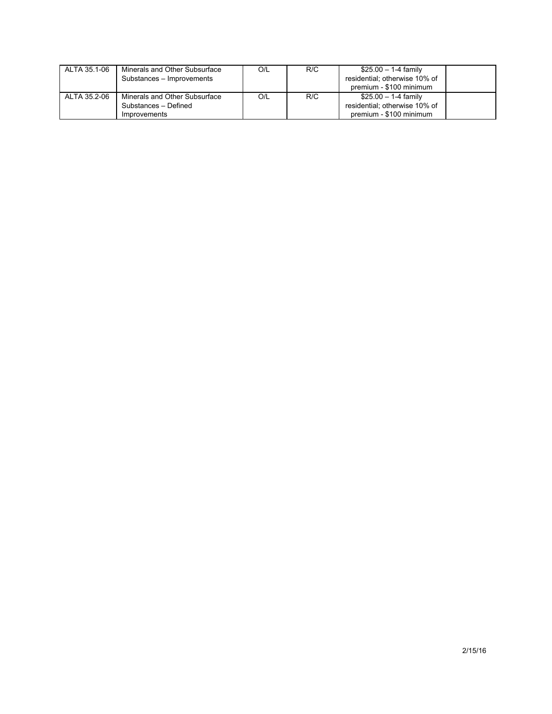| ALTA 35.1-06 | Minerals and Other Subsurface<br>Substances - Improvements | O/L | R/C | \$25.00 - 1-4 family<br>residential; otherwise 10% of<br>premium - \$100 minimum |  |
|--------------|------------------------------------------------------------|-----|-----|----------------------------------------------------------------------------------|--|
| ALTA 35.2-06 | Minerals and Other Subsurface                              | O/L | R/C | \$25.00 - 1-4 family                                                             |  |
|              | Substances - Defined                                       |     |     | residential: otherwise 10% of                                                    |  |
|              | Improvements                                               |     |     | premium - \$100 minimum                                                          |  |